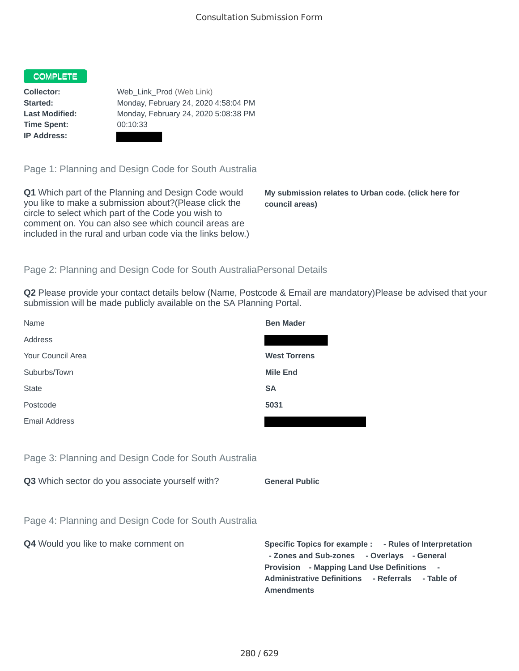## COMPLETE

**Time Spent:** 00:10:33 **IP Address:**

**Collector:** Web Link Prod (Web Link) **Started:** Monday, February 24, 2020 4:58:04 PM **Last Modified:** Monday, February 24, 2020 5:08:38 PM

Page 1: Planning and Design Code for South Australia

**Q1** Which part of the Planning and Design Code would you like to make a submission about?(Please click the circle to select which part of the Code you wish to comment on. You can also see which council areas are included in the rural and urban code via the links below.)

**My submission relates to Urban code. (click here for council areas)**

## Page 2: Planning and Design Code for South AustraliaPersonal Details

**Q2** Please provide your contact details below (Name, Postcode & Email are mandatory)Please be advised that your submission will be made publicly available on the SA Planning Portal.

| Name                                                 | <b>Ben Mader</b>      |
|------------------------------------------------------|-----------------------|
| Address                                              |                       |
| Your Council Area                                    | <b>West Torrens</b>   |
| Suburbs/Town                                         | <b>Mile End</b>       |
| <b>State</b>                                         | <b>SA</b>             |
| Postcode                                             | 5031                  |
| Email Address                                        |                       |
|                                                      |                       |
| Page 3: Planning and Design Code for South Australia |                       |
| Q3 Which sector do you associate yourself with?      | <b>General Public</b> |

Page 4: Planning and Design Code for South Australia

**Q4** Would you like to make comment on **Specific Topics for example : - Rules of Interpretation - Zones and Sub-zones - Overlays - General Provision - Mapping Land Use Definitions - Administrative Definitions - Referrals - Table of Amendments**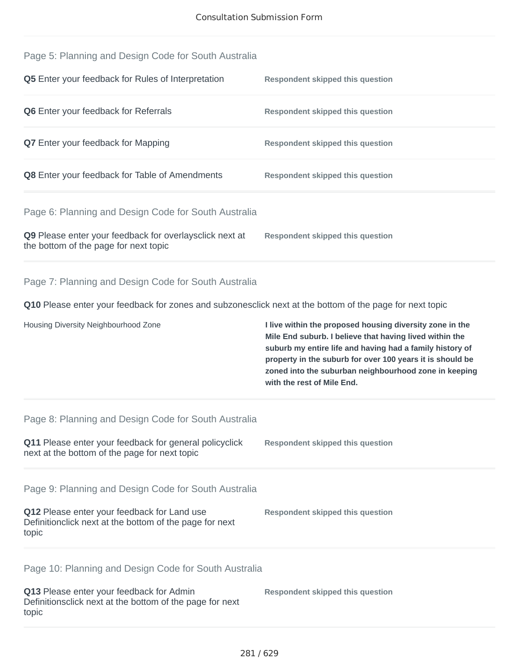| Page 5: Planning and Design Code for South Australia<br>Q5 Enter your feedback for Rules of Interpretation                                                              | <b>Respondent skipped this question</b>                                                                                                                                                                                                                                                                                             |
|-------------------------------------------------------------------------------------------------------------------------------------------------------------------------|-------------------------------------------------------------------------------------------------------------------------------------------------------------------------------------------------------------------------------------------------------------------------------------------------------------------------------------|
| Q6 Enter your feedback for Referrals                                                                                                                                    | <b>Respondent skipped this question</b>                                                                                                                                                                                                                                                                                             |
| Q7 Enter your feedback for Mapping                                                                                                                                      | <b>Respondent skipped this question</b>                                                                                                                                                                                                                                                                                             |
| Q8 Enter your feedback for Table of Amendments                                                                                                                          | <b>Respondent skipped this question</b>                                                                                                                                                                                                                                                                                             |
| Page 6: Planning and Design Code for South Australia<br>Q9 Please enter your feedback for overlaysclick next at<br>the bottom of the page for next topic                | <b>Respondent skipped this question</b>                                                                                                                                                                                                                                                                                             |
| Page 7: Planning and Design Code for South Australia<br>Q10 Please enter your feedback for zones and subzonesclick next at the bottom of the page for next topic        |                                                                                                                                                                                                                                                                                                                                     |
| Housing Diversity Neighbourhood Zone                                                                                                                                    | I live within the proposed housing diversity zone in the<br>Mile End suburb. I believe that having lived within the<br>suburb my entire life and having had a family history of<br>property in the suburb for over 100 years it is should be<br>zoned into the suburban neighbourhood zone in keeping<br>with the rest of Mile End. |
| Page 8: Planning and Design Code for South Australia<br>Q11 Please enter your feedback for general policyclick<br>next at the bottom of the page for next topic         | <b>Respondent skipped this question</b>                                                                                                                                                                                                                                                                                             |
| Page 9: Planning and Design Code for South Australia<br>Q12 Please enter your feedback for Land use<br>Definitionclick next at the bottom of the page for next<br>topic | <b>Respondent skipped this question</b>                                                                                                                                                                                                                                                                                             |
| Page 10: Planning and Design Code for South Australia<br>Q13 Please enter your feedback for Admin                                                                       |                                                                                                                                                                                                                                                                                                                                     |